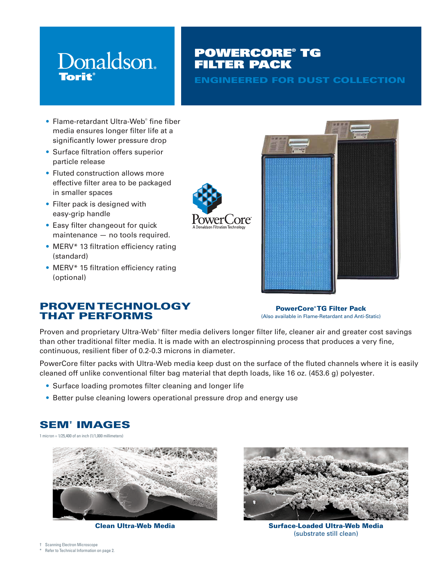# Donaldson. **Torit**

# POWERCORE® TG FILTER PACK

ENGINEERED FOR DUST COLLECTION

- Flame-retardant Ultra-Web® fine fiber media ensures longer filter life at a significantly lower pressure drop
- Surface filtration offers superior particle release
- Fluted construction allows more effective filter area to be packaged in smaller spaces
- Filter pack is designed with easy-grip handle
- Easy filter changeout for quick maintenance — no tools required.
- MERV<sup>\*</sup> 13 filtration efficiency rating (standard)
- MERV<sup>\*</sup> 15 filtration efficiency rating (optional)

PROVEN TECHNOLOGY

THAT PERFORMS



PowerCore® TG Filter Pack (Also available in Flame-Retardant and Anti-Static)

Proven and proprietary Ultra-Web® filter media delivers longer filter life, cleaner air and greater cost savings than other traditional filter media. It is made with an electrospinning process that produces a very fine, continuous, resilient fiber of 0.2-0.3 microns in diameter.

PowerCore filter packs with Ultra-Web media keep dust on the surface of the fluted channels where it is easily cleaned off unlike conventional filter bag material that depth loads, like 16 oz. (453.6 g) polyester.

- Surface loading promotes filter cleaning and longer life
- Better pulse cleaning lowers operational pressure drop and energy use

# SEM† IMAGES

1 micron = 1/25,400 of an inch (1/1,000 millimeters)





Clean Ultra-Web Media Surface-Loaded Ultra-Web Media (substrate still clean)

- † Scanning Electron Microscope
- Refer to Technical Information on page 2.